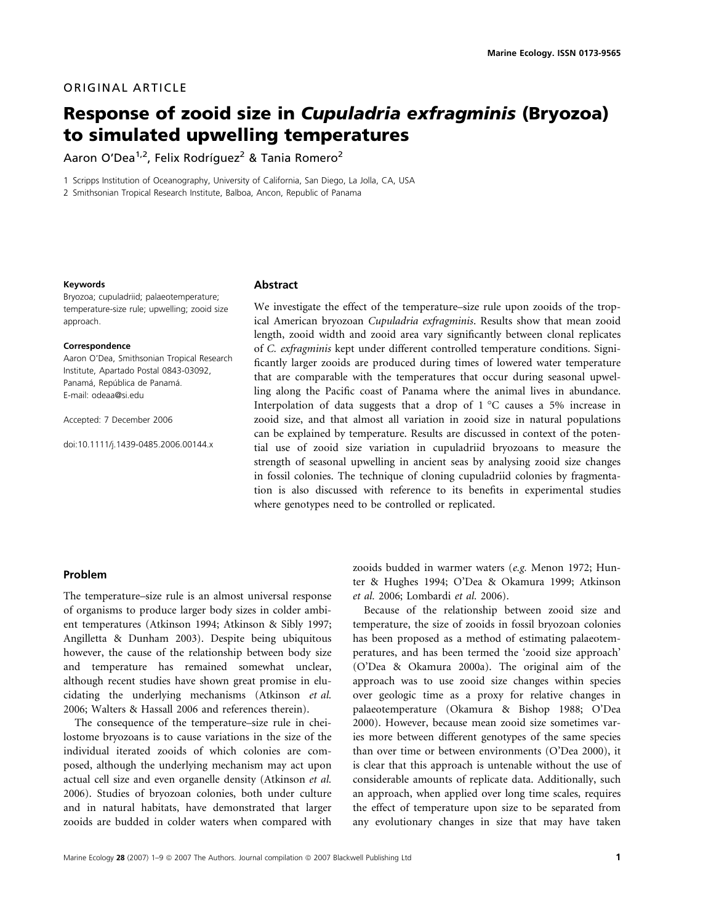# ORIGINAL ARTICLE

# Response of zooid size in Cupuladria exfragminis (Bryozoa) to simulated upwelling temperatures

Aaron O'Dea<sup>1,2</sup>, Felix Rodríquez<sup>2</sup> & Tania Romero<sup>2</sup>

1 Scripps Institution of Oceanography, University of California, San Diego, La Jolla, CA, USA

2 Smithsonian Tropical Research Institute, Balboa, Ancon, Republic of Panama

#### Keywords

Bryozoa; cupuladriid; palaeotemperature; temperature-size rule; upwelling; zooid size approach.

#### Correspondence

Aaron O'Dea, Smithsonian Tropical Research Institute, Apartado Postal 0843-03092, Panamá, República de Panamá. E-mail: odeaa@si.edu

Accepted: 7 December 2006

doi:10.1111/j.1439-0485.2006.00144.x

#### Abstract

We investigate the effect of the temperature–size rule upon zooids of the tropical American bryozoan Cupuladria exfragminis. Results show that mean zooid length, zooid width and zooid area vary significantly between clonal replicates of C. exfragminis kept under different controlled temperature conditions. Significantly larger zooids are produced during times of lowered water temperature that are comparable with the temperatures that occur during seasonal upwelling along the Pacific coast of Panama where the animal lives in abundance. Interpolation of data suggests that a drop of  $1 °C$  causes a 5% increase in zooid size, and that almost all variation in zooid size in natural populations can be explained by temperature. Results are discussed in context of the potential use of zooid size variation in cupuladriid bryozoans to measure the strength of seasonal upwelling in ancient seas by analysing zooid size changes in fossil colonies. The technique of cloning cupuladriid colonies by fragmentation is also discussed with reference to its benefits in experimental studies where genotypes need to be controlled or replicated.

## Problem

The temperature–size rule is an almost universal response of organisms to produce larger body sizes in colder ambient temperatures (Atkinson 1994; Atkinson & Sibly 1997; Angilletta & Dunham 2003). Despite being ubiquitous however, the cause of the relationship between body size and temperature has remained somewhat unclear, although recent studies have shown great promise in elucidating the underlying mechanisms (Atkinson et al. 2006; Walters & Hassall 2006 and references therein).

The consequence of the temperature–size rule in cheilostome bryozoans is to cause variations in the size of the individual iterated zooids of which colonies are composed, although the underlying mechanism may act upon actual cell size and even organelle density (Atkinson et al. 2006). Studies of bryozoan colonies, both under culture and in natural habitats, have demonstrated that larger zooids are budded in colder waters when compared with

zooids budded in warmer waters (e.g. Menon 1972; Hunter & Hughes 1994; O'Dea & Okamura 1999; Atkinson et al. 2006; Lombardi et al. 2006).

Because of the relationship between zooid size and temperature, the size of zooids in fossil bryozoan colonies has been proposed as a method of estimating palaeotemperatures, and has been termed the 'zooid size approach' (O'Dea & Okamura 2000a). The original aim of the approach was to use zooid size changes within species over geologic time as a proxy for relative changes in palaeotemperature (Okamura & Bishop 1988; O'Dea 2000). However, because mean zooid size sometimes varies more between different genotypes of the same species than over time or between environments (O'Dea 2000), it is clear that this approach is untenable without the use of considerable amounts of replicate data. Additionally, such an approach, when applied over long time scales, requires the effect of temperature upon size to be separated from any evolutionary changes in size that may have taken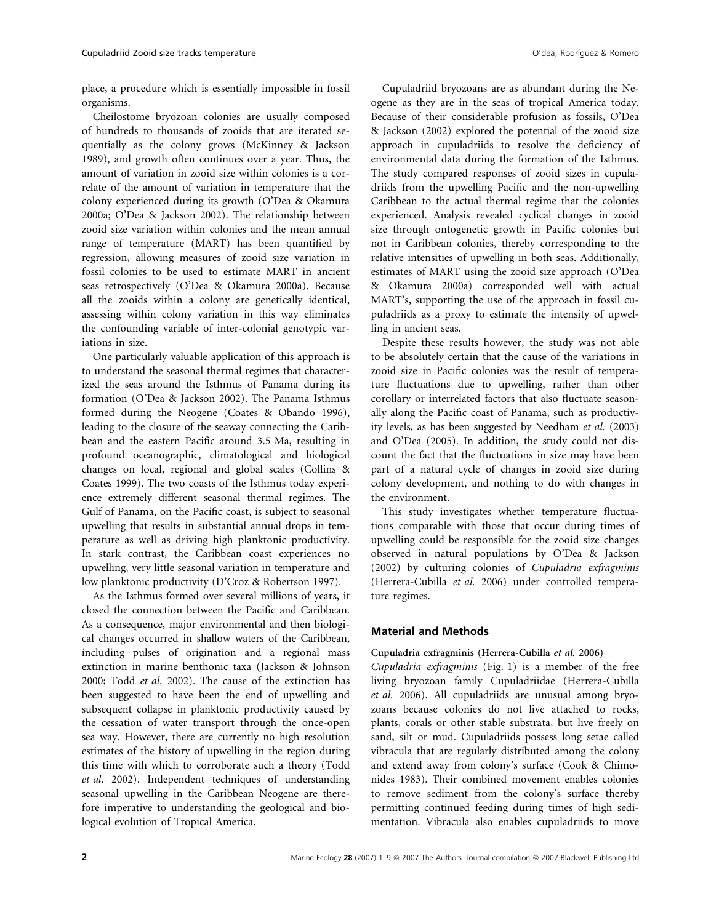place, a procedure which is essentially impossible in fossil organisms.

Cheilostome bryozoan colonies are usually composed of hundreds to thousands of zooids that are iterated sequentially as the colony grows (McKinney & Jackson 1989), and growth often continues over a year. Thus, the amount of variation in zooid size within colonies is a correlate of the amount of variation in temperature that the colony experienced during its growth (O'Dea & Okamura 2000a; O'Dea & Jackson 2002). The relationship between zooid size variation within colonies and the mean annual range of temperature (MART) has been quantified by regression, allowing measures of zooid size variation in fossil colonies to be used to estimate MART in ancient seas retrospectively (O'Dea & Okamura 2000a). Because all the zooids within a colony are genetically identical, assessing within colony variation in this way eliminates the confounding variable of inter-colonial genotypic variations in size.

One particularly valuable application of this approach is to understand the seasonal thermal regimes that characterized the seas around the Isthmus of Panama during its formation (O'Dea & Jackson 2002). The Panama Isthmus formed during the Neogene (Coates & Obando 1996), leading to the closure of the seaway connecting the Caribbean and the eastern Pacific around 3.5 Ma, resulting in profound oceanographic, climatological and biological changes on local, regional and global scales (Collins & Coates 1999). The two coasts of the Isthmus today experience extremely different seasonal thermal regimes. The Gulf of Panama, on the Pacific coast, is subject to seasonal upwelling that results in substantial annual drops in temperature as well as driving high planktonic productivity. In stark contrast, the Caribbean coast experiences no upwelling, very little seasonal variation in temperature and low planktonic productivity (D'Croz & Robertson 1997).

As the Isthmus formed over several millions of years, it closed the connection between the Pacific and Caribbean. As a consequence, major environmental and then biological changes occurred in shallow waters of the Caribbean, including pulses of origination and a regional mass extinction in marine benthonic taxa (Jackson & Johnson 2000; Todd et al. 2002). The cause of the extinction has been suggested to have been the end of upwelling and subsequent collapse in planktonic productivity caused by the cessation of water transport through the once-open sea way. However, there are currently no high resolution estimates of the history of upwelling in the region during this time with which to corroborate such a theory (Todd et al. 2002). Independent techniques of understanding seasonal upwelling in the Caribbean Neogene are therefore imperative to understanding the geological and biological evolution of Tropical America.

Cupuladriid bryozoans are as abundant during the Neogene as they are in the seas of tropical America today. Because of their considerable profusion as fossils, O'Dea & Jackson (2002) explored the potential of the zooid size approach in cupuladriids to resolve the deficiency of environmental data during the formation of the Isthmus. The study compared responses of zooid sizes in cupuladriids from the upwelling Pacific and the non-upwelling Caribbean to the actual thermal regime that the colonies experienced. Analysis revealed cyclical changes in zooid size through ontogenetic growth in Pacific colonies but not in Caribbean colonies, thereby corresponding to the relative intensities of upwelling in both seas. Additionally, estimates of MART using the zooid size approach (O'Dea & Okamura 2000a) corresponded well with actual MART's, supporting the use of the approach in fossil cupuladriids as a proxy to estimate the intensity of upwelling in ancient seas.

Despite these results however, the study was not able to be absolutely certain that the cause of the variations in zooid size in Pacific colonies was the result of temperature fluctuations due to upwelling, rather than other corollary or interrelated factors that also fluctuate seasonally along the Pacific coast of Panama, such as productivity levels, as has been suggested by Needham et al. (2003) and O'Dea (2005). In addition, the study could not discount the fact that the fluctuations in size may have been part of a natural cycle of changes in zooid size during colony development, and nothing to do with changes in the environment.

This study investigates whether temperature fluctuations comparable with those that occur during times of upwelling could be responsible for the zooid size changes observed in natural populations by O'Dea & Jackson (2002) by culturing colonies of Cupuladria exfragminis (Herrera-Cubilla et al. 2006) under controlled temperature regimes.

## Material and Methods

#### Cupuladria exfragminis (Herrera-Cubilla et al. 2006)

Cupuladria exfragminis (Fig. 1) is a member of the free living bryozoan family Cupuladriidae (Herrera-Cubilla et al. 2006). All cupuladriids are unusual among bryozoans because colonies do not live attached to rocks, plants, corals or other stable substrata, but live freely on sand, silt or mud. Cupuladriids possess long setae called vibracula that are regularly distributed among the colony and extend away from colony's surface (Cook & Chimonides 1983). Their combined movement enables colonies to remove sediment from the colony's surface thereby permitting continued feeding during times of high sedimentation. Vibracula also enables cupuladriids to move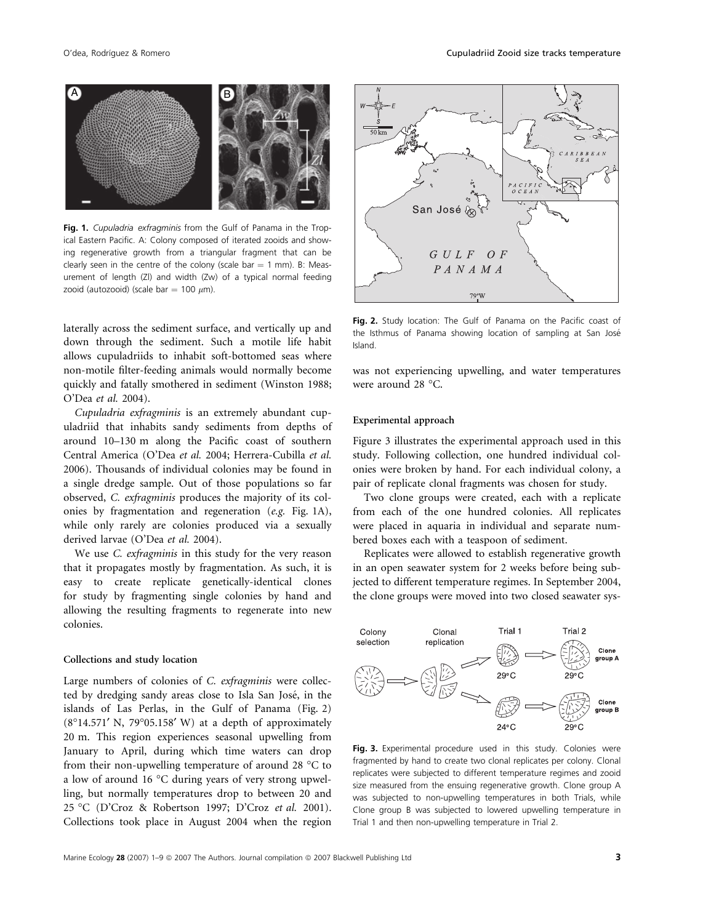

Fig. 1. Cupuladria exfragminis from the Gulf of Panama in the Tropical Eastern Pacific. A: Colony composed of iterated zooids and showing regenerative growth from a triangular fragment that can be clearly seen in the centre of the colony (scale bar  $= 1$  mm). B: Measurement of length (Zl) and width (Zw) of a typical normal feeding zooid (autozooid) (scale bar = 100  $\mu$ m).

laterally across the sediment surface, and vertically up and down through the sediment. Such a motile life habit allows cupuladriids to inhabit soft-bottomed seas where non-motile filter-feeding animals would normally become quickly and fatally smothered in sediment (Winston 1988; O'Dea et al. 2004).

Cupuladria exfragminis is an extremely abundant cupuladriid that inhabits sandy sediments from depths of around 10–130 m along the Pacific coast of southern Central America (O'Dea et al. 2004; Herrera-Cubilla et al. 2006). Thousands of individual colonies may be found in a single dredge sample. Out of those populations so far observed, C. exfragminis produces the majority of its colonies by fragmentation and regeneration (e.g. Fig. 1A), while only rarely are colonies produced via a sexually derived larvae (O'Dea et al. 2004).

We use *C. exfragminis* in this study for the very reason that it propagates mostly by fragmentation. As such, it is easy to create replicate genetically-identical clones for study by fragmenting single colonies by hand and allowing the resulting fragments to regenerate into new colonies.

#### Collections and study location

Large numbers of colonies of C. exfragminis were collected by dredging sandy areas close to Isla San José, in the islands of Las Perlas, in the Gulf of Panama (Fig. 2)  $(8°14.571'$  N,  $79°05.158'$  W) at a depth of approximately 20 m. This region experiences seasonal upwelling from January to April, during which time waters can drop from their non-upwelling temperature of around 28  $^{\circ}$ C to a low of around 16 °C during years of very strong upwelling, but normally temperatures drop to between 20 and 25 °C (D'Croz & Robertson 1997; D'Croz *et al.* 2001). Collections took place in August 2004 when the region



Fig. 2. Study location: The Gulf of Panama on the Pacific coast of the Isthmus of Panama showing location of sampling at San José Island.

was not experiencing upwelling, and water temperatures were around 28  $^{\circ}$ C.

#### Experimental approach

Figure 3 illustrates the experimental approach used in this study. Following collection, one hundred individual colonies were broken by hand. For each individual colony, a pair of replicate clonal fragments was chosen for study.

Two clone groups were created, each with a replicate from each of the one hundred colonies. All replicates were placed in aquaria in individual and separate numbered boxes each with a teaspoon of sediment.

Replicates were allowed to establish regenerative growth in an open seawater system for 2 weeks before being subjected to different temperature regimes. In September 2004, the clone groups were moved into two closed seawater sys-



Fig. 3. Experimental procedure used in this study. Colonies were fragmented by hand to create two clonal replicates per colony. Clonal replicates were subjected to different temperature regimes and zooid size measured from the ensuing regenerative growth. Clone group A was subjected to non-upwelling temperatures in both Trials, while Clone group B was subjected to lowered upwelling temperature in Trial 1 and then non-upwelling temperature in Trial 2.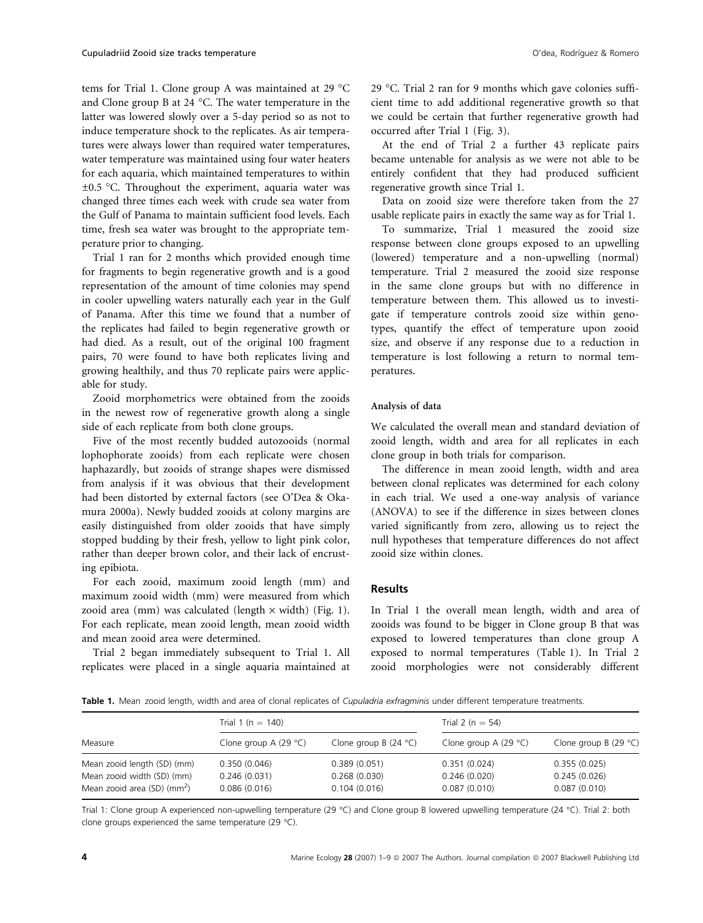tems for Trial 1. Clone group A was maintained at 29 °C and Clone group B at 24 °C. The water temperature in the latter was lowered slowly over a 5-day period so as not to induce temperature shock to the replicates. As air temperatures were always lower than required water temperatures, water temperature was maintained using four water heaters for each aquaria, which maintained temperatures to within  $\pm 0.5$  °C. Throughout the experiment, aquaria water was changed three times each week with crude sea water from the Gulf of Panama to maintain sufficient food levels. Each time, fresh sea water was brought to the appropriate temperature prior to changing.

Trial 1 ran for 2 months which provided enough time for fragments to begin regenerative growth and is a good representation of the amount of time colonies may spend in cooler upwelling waters naturally each year in the Gulf of Panama. After this time we found that a number of the replicates had failed to begin regenerative growth or had died. As a result, out of the original 100 fragment pairs, 70 were found to have both replicates living and growing healthily, and thus 70 replicate pairs were applicable for study.

Zooid morphometrics were obtained from the zooids in the newest row of regenerative growth along a single side of each replicate from both clone groups.

Five of the most recently budded autozooids (normal lophophorate zooids) from each replicate were chosen haphazardly, but zooids of strange shapes were dismissed from analysis if it was obvious that their development had been distorted by external factors (see O'Dea & Okamura 2000a). Newly budded zooids at colony margins are easily distinguished from older zooids that have simply stopped budding by their fresh, yellow to light pink color, rather than deeper brown color, and their lack of encrusting epibiota.

For each zooid, maximum zooid length (mm) and maximum zooid width (mm) were measured from which zooid area (mm) was calculated (length  $\times$  width) (Fig. 1). For each replicate, mean zooid length, mean zooid width and mean zooid area were determined.

Trial 2 began immediately subsequent to Trial 1. All replicates were placed in a single aquaria maintained at

29 -C. Trial 2 ran for 9 months which gave colonies sufficient time to add additional regenerative growth so that we could be certain that further regenerative growth had occurred after Trial 1 (Fig. 3).

At the end of Trial 2 a further 43 replicate pairs became untenable for analysis as we were not able to be entirely confident that they had produced sufficient regenerative growth since Trial 1.

Data on zooid size were therefore taken from the 27 usable replicate pairs in exactly the same way as for Trial 1.

To summarize, Trial 1 measured the zooid size response between clone groups exposed to an upwelling (lowered) temperature and a non-upwelling (normal) temperature. Trial 2 measured the zooid size response in the same clone groups but with no difference in temperature between them. This allowed us to investigate if temperature controls zooid size within genotypes, quantify the effect of temperature upon zooid size, and observe if any response due to a reduction in temperature is lost following a return to normal temperatures.

## Analysis of data

We calculated the overall mean and standard deviation of zooid length, width and area for all replicates in each clone group in both trials for comparison.

The difference in mean zooid length, width and area between clonal replicates was determined for each colony in each trial. We used a one-way analysis of variance (ANOVA) to see if the difference in sizes between clones varied significantly from zero, allowing us to reject the null hypotheses that temperature differences do not affect zooid size within clones.

# Results

In Trial 1 the overall mean length, width and area of zooids was found to be bigger in Clone group B that was exposed to lowered temperatures than clone group A exposed to normal temperatures (Table 1). In Trial 2 zooid morphologies were not considerably different

Table 1. Mean zooid length, width and area of clonal replicates of Cupuladria exfragminis under different temperature treatments.

| Measure                                                                 | Trial 1 ( $n = 140$ )          |                              | Trial 2 ( $n = 54$ )         |                                 |
|-------------------------------------------------------------------------|--------------------------------|------------------------------|------------------------------|---------------------------------|
|                                                                         | Clone group A $(29 \degree C)$ | Clone group B $(24 °C)$      | Clone group A $(29 °C)$      | Clone group B (29 $^{\circ}$ C) |
| Mean zooid length (SD) (mm)                                             | 0.350(0.046)                   | 0.389(0.051)                 | 0.351(0.024)                 | 0.355(0.025)                    |
| Mean zooid width (SD) (mm)<br>Mean zooid area $(SD)$ (mm <sup>2</sup> ) | 0.246(0.031)<br>0.086(0.016)   | 0.268(0.030)<br>0.104(0.016) | 0.246(0.020)<br>0.087(0.010) | 0.245(0.026)<br>0.087(0.010)    |

Trial 1: Clone group A experienced non-upwelling temperature (29 °C) and Clone group B lowered upwelling temperature (24 °C). Trial 2: both clone groups experienced the same temperature (29  $^{\circ}$ C).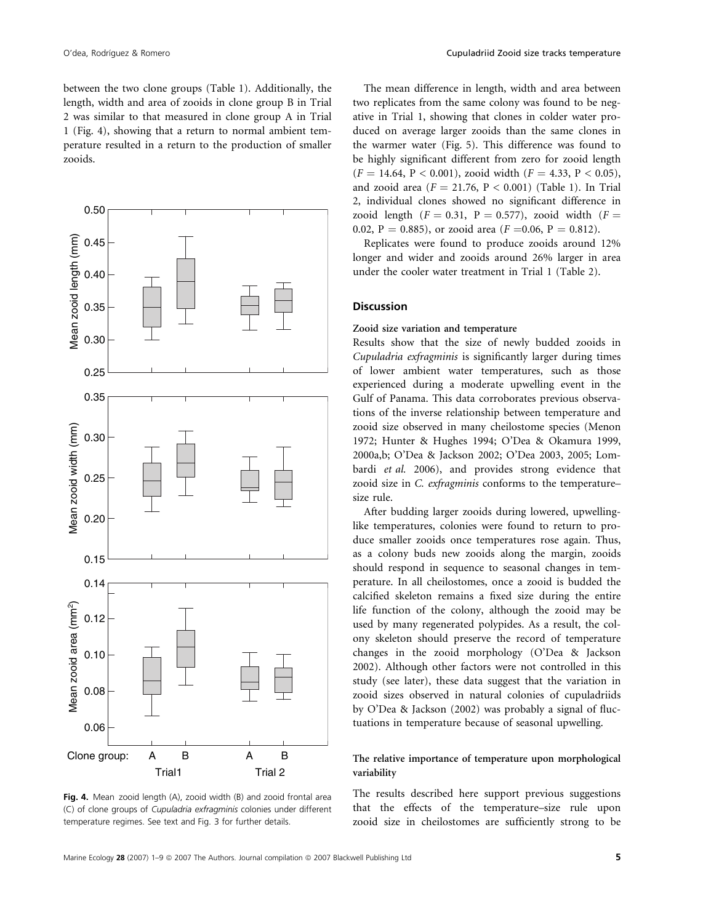between the two clone groups (Table 1). Additionally, the length, width and area of zooids in clone group B in Trial 2 was similar to that measured in clone group A in Trial 1 (Fig. 4), showing that a return to normal ambient temperature resulted in a return to the production of smaller zooids.



Fig. 4. Mean zooid length (A), zooid width (B) and zooid frontal area (C) of clone groups of Cupuladria exfragminis colonies under different temperature regimes. See text and Fig. 3 for further details.

The mean difference in length, width and area between two replicates from the same colony was found to be negative in Trial 1, showing that clones in colder water produced on average larger zooids than the same clones in the warmer water (Fig. 5). This difference was found to be highly significant different from zero for zooid length  $(F = 14.64, P < 0.001)$ , zooid width  $(F = 4.33, P < 0.05)$ , and zooid area ( $F = 21.76$ ,  $P < 0.001$ ) (Table 1). In Trial 2, individual clones showed no significant difference in zooid length  $(F = 0.31, P = 0.577)$ , zooid width  $(F =$ 0.02, P = 0.885), or zooid area ( $F = 0.06$ , P = 0.812).

Replicates were found to produce zooids around 12% longer and wider and zooids around 26% larger in area under the cooler water treatment in Trial 1 (Table 2).

# **Discussion**

# Zooid size variation and temperature

Results show that the size of newly budded zooids in Cupuladria exfragminis is significantly larger during times of lower ambient water temperatures, such as those experienced during a moderate upwelling event in the Gulf of Panama. This data corroborates previous observations of the inverse relationship between temperature and zooid size observed in many cheilostome species (Menon 1972; Hunter & Hughes 1994; O'Dea & Okamura 1999, 2000a,b; O'Dea & Jackson 2002; O'Dea 2003, 2005; Lombardi et al. 2006), and provides strong evidence that zooid size in C. exfragminis conforms to the temperature– size rule.

After budding larger zooids during lowered, upwellinglike temperatures, colonies were found to return to produce smaller zooids once temperatures rose again. Thus, as a colony buds new zooids along the margin, zooids should respond in sequence to seasonal changes in temperature. In all cheilostomes, once a zooid is budded the calcified skeleton remains a fixed size during the entire life function of the colony, although the zooid may be used by many regenerated polypides. As a result, the colony skeleton should preserve the record of temperature changes in the zooid morphology (O'Dea & Jackson 2002). Although other factors were not controlled in this study (see later), these data suggest that the variation in zooid sizes observed in natural colonies of cupuladriids by O'Dea & Jackson (2002) was probably a signal of fluctuations in temperature because of seasonal upwelling.

# The relative importance of temperature upon morphological variability

The results described here support previous suggestions that the effects of the temperature–size rule upon zooid size in cheilostomes are sufficiently strong to be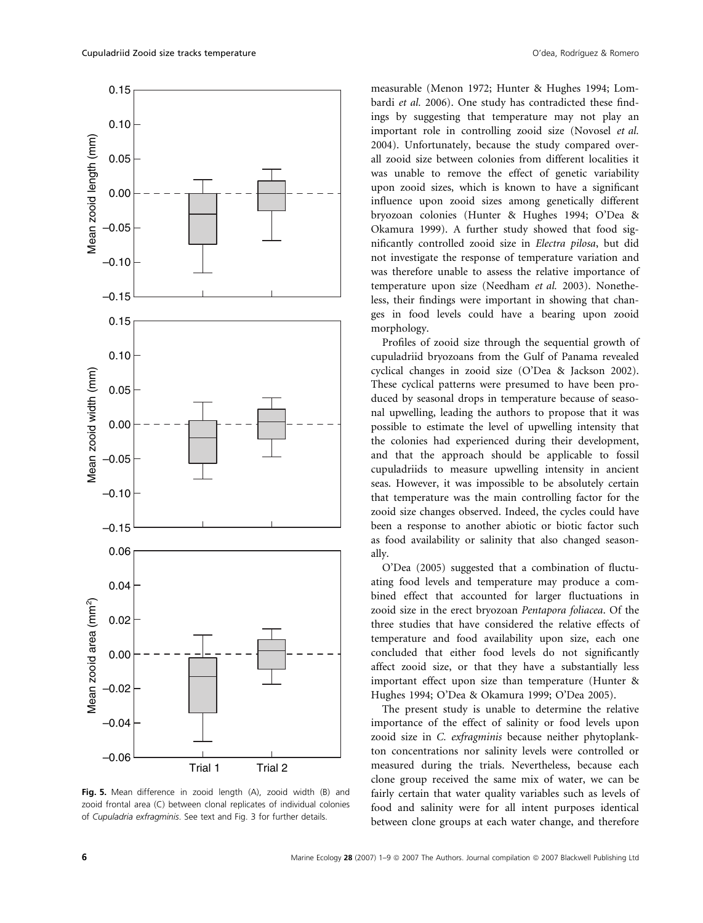

Fig. 5. Mean difference in zooid length (A), zooid width (B) and zooid frontal area (C) between clonal replicates of individual colonies of Cupuladria exfragminis. See text and Fig. 3 for further details.

measurable (Menon 1972; Hunter & Hughes 1994; Lombardi et al. 2006). One study has contradicted these findings by suggesting that temperature may not play an important role in controlling zooid size (Novosel et al. 2004). Unfortunately, because the study compared overall zooid size between colonies from different localities it was unable to remove the effect of genetic variability upon zooid sizes, which is known to have a significant influence upon zooid sizes among genetically different bryozoan colonies (Hunter & Hughes 1994; O'Dea & Okamura 1999). A further study showed that food significantly controlled zooid size in Electra pilosa, but did not investigate the response of temperature variation and was therefore unable to assess the relative importance of temperature upon size (Needham et al. 2003). Nonetheless, their findings were important in showing that changes in food levels could have a bearing upon zooid morphology.

Profiles of zooid size through the sequential growth of cupuladriid bryozoans from the Gulf of Panama revealed cyclical changes in zooid size (O'Dea & Jackson 2002). These cyclical patterns were presumed to have been produced by seasonal drops in temperature because of seasonal upwelling, leading the authors to propose that it was possible to estimate the level of upwelling intensity that the colonies had experienced during their development, and that the approach should be applicable to fossil cupuladriids to measure upwelling intensity in ancient seas. However, it was impossible to be absolutely certain that temperature was the main controlling factor for the zooid size changes observed. Indeed, the cycles could have been a response to another abiotic or biotic factor such as food availability or salinity that also changed seasonally.

O'Dea (2005) suggested that a combination of fluctuating food levels and temperature may produce a combined effect that accounted for larger fluctuations in zooid size in the erect bryozoan Pentapora foliacea. Of the three studies that have considered the relative effects of temperature and food availability upon size, each one concluded that either food levels do not significantly affect zooid size, or that they have a substantially less important effect upon size than temperature (Hunter & Hughes 1994; O'Dea & Okamura 1999; O'Dea 2005).

The present study is unable to determine the relative importance of the effect of salinity or food levels upon zooid size in C. exfragminis because neither phytoplankton concentrations nor salinity levels were controlled or measured during the trials. Nevertheless, because each clone group received the same mix of water, we can be fairly certain that water quality variables such as levels of food and salinity were for all intent purposes identical between clone groups at each water change, and therefore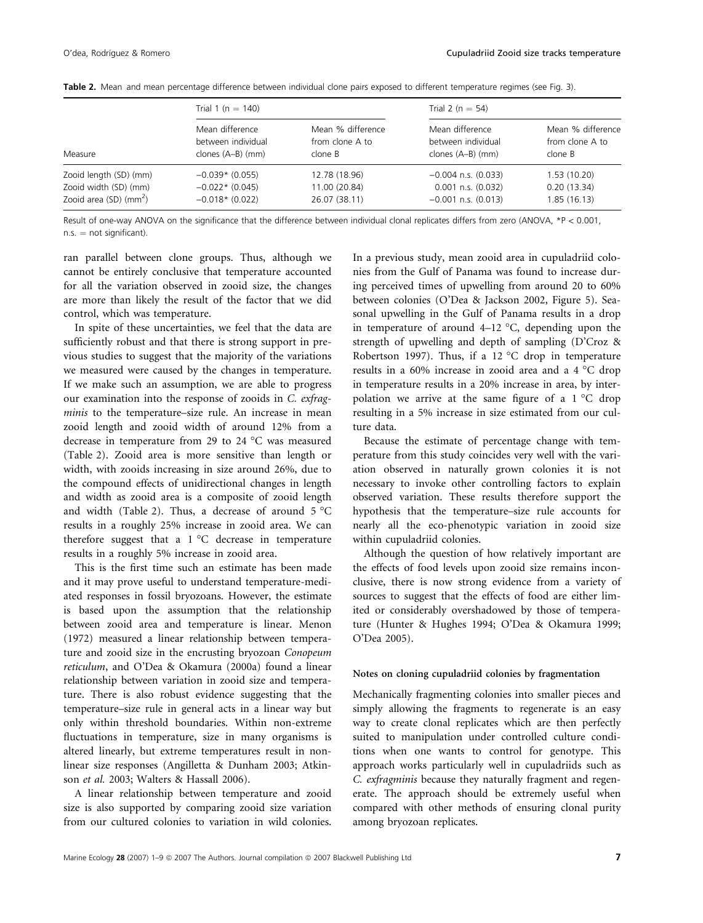| Measure                                                                                 | Trial 1 ( $n = 140$ )                                      |                                                 |                                                                              | Trial 2 ( $n = 54$ )                            |  |
|-----------------------------------------------------------------------------------------|------------------------------------------------------------|-------------------------------------------------|------------------------------------------------------------------------------|-------------------------------------------------|--|
|                                                                                         | Mean difference<br>between individual<br>clones (A–B) (mm) | Mean % difference<br>from clone A to<br>clone B | Mean difference<br>between individual<br>clones (A–B) (mm)                   | Mean % difference<br>from clone A to<br>clone B |  |
| Zooid length (SD) (mm)<br>Zooid width (SD) (mm)<br>Zooid area $(SD)$ (mm <sup>2</sup> ) | $-0.039*$ (0.055)<br>$-0.022*$ (0.045)<br>$-0.018*(0.022)$ | 12.78 (18.96)<br>11.00 (20.84)<br>26.07 (38.11) | $-0.004$ n.s. $(0.033)$<br>$0.001$ n.s. $(0.032)$<br>$-0.001$ n.s. $(0.013)$ | 1.53(10.20)<br>0.20(13.34)<br>1.85(16.13)       |  |

Table 2. Mean and mean percentage difference between individual clone pairs exposed to different temperature regimes (see Fig. 3).

Result of one-way ANOVA on the significance that the difference between individual clonal replicates differs from zero (ANOVA, \*P < 0.001,  $n.s. = not significant.$ 

ran parallel between clone groups. Thus, although we cannot be entirely conclusive that temperature accounted for all the variation observed in zooid size, the changes are more than likely the result of the factor that we did control, which was temperature.

In spite of these uncertainties, we feel that the data are sufficiently robust and that there is strong support in previous studies to suggest that the majority of the variations we measured were caused by the changes in temperature. If we make such an assumption, we are able to progress our examination into the response of zooids in C. exfragminis to the temperature–size rule. An increase in mean zooid length and zooid width of around 12% from a decrease in temperature from 29 to 24 °C was measured (Table 2). Zooid area is more sensitive than length or width, with zooids increasing in size around 26%, due to the compound effects of unidirectional changes in length and width as zooid area is a composite of zooid length and width (Table 2). Thus, a decrease of around  $5^{\circ}$ C results in a roughly 25% increase in zooid area. We can therefore suggest that a  $1 °C$  decrease in temperature results in a roughly 5% increase in zooid area.

This is the first time such an estimate has been made and it may prove useful to understand temperature-mediated responses in fossil bryozoans. However, the estimate is based upon the assumption that the relationship between zooid area and temperature is linear. Menon (1972) measured a linear relationship between temperature and zooid size in the encrusting bryozoan Conopeum reticulum, and O'Dea & Okamura (2000a) found a linear relationship between variation in zooid size and temperature. There is also robust evidence suggesting that the temperature–size rule in general acts in a linear way but only within threshold boundaries. Within non-extreme fluctuations in temperature, size in many organisms is altered linearly, but extreme temperatures result in nonlinear size responses (Angilletta & Dunham 2003; Atkinson et al. 2003; Walters & Hassall 2006).

A linear relationship between temperature and zooid size is also supported by comparing zooid size variation from our cultured colonies to variation in wild colonies.

In a previous study, mean zooid area in cupuladriid colonies from the Gulf of Panama was found to increase during perceived times of upwelling from around 20 to 60% between colonies (O'Dea & Jackson 2002, Figure 5). Seasonal upwelling in the Gulf of Panama results in a drop in temperature of around  $4-12$  °C, depending upon the strength of upwelling and depth of sampling (D'Croz & Robertson 1997). Thus, if a 12  $^{\circ}$ C drop in temperature results in a 60% increase in zooid area and a 4  $^{\circ}$ C drop in temperature results in a 20% increase in area, by interpolation we arrive at the same figure of a  $1 °C$  drop resulting in a 5% increase in size estimated from our culture data.

Because the estimate of percentage change with temperature from this study coincides very well with the variation observed in naturally grown colonies it is not necessary to invoke other controlling factors to explain observed variation. These results therefore support the hypothesis that the temperature–size rule accounts for nearly all the eco-phenotypic variation in zooid size within cupuladriid colonies.

Although the question of how relatively important are the effects of food levels upon zooid size remains inconclusive, there is now strong evidence from a variety of sources to suggest that the effects of food are either limited or considerably overshadowed by those of temperature (Hunter & Hughes 1994; O'Dea & Okamura 1999; O'Dea 2005).

## Notes on cloning cupuladriid colonies by fragmentation

Mechanically fragmenting colonies into smaller pieces and simply allowing the fragments to regenerate is an easy way to create clonal replicates which are then perfectly suited to manipulation under controlled culture conditions when one wants to control for genotype. This approach works particularly well in cupuladriids such as C. exfragminis because they naturally fragment and regenerate. The approach should be extremely useful when compared with other methods of ensuring clonal purity among bryozoan replicates.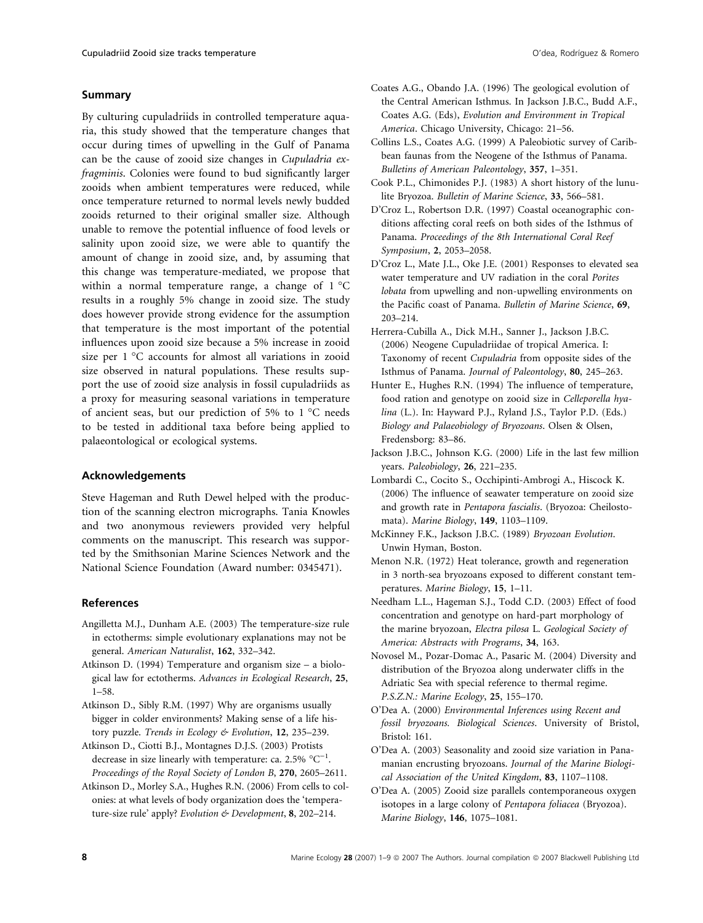## Summary

By culturing cupuladriids in controlled temperature aquaria, this study showed that the temperature changes that occur during times of upwelling in the Gulf of Panama can be the cause of zooid size changes in Cupuladria exfragminis. Colonies were found to bud significantly larger zooids when ambient temperatures were reduced, while once temperature returned to normal levels newly budded zooids returned to their original smaller size. Although unable to remove the potential influence of food levels or salinity upon zooid size, we were able to quantify the amount of change in zooid size, and, by assuming that this change was temperature-mediated, we propose that within a normal temperature range, a change of  $1^{\circ}$ C results in a roughly 5% change in zooid size. The study does however provide strong evidence for the assumption that temperature is the most important of the potential influences upon zooid size because a 5% increase in zooid size per  $1 \text{ }^{\circ}C$  accounts for almost all variations in zooid size observed in natural populations. These results support the use of zooid size analysis in fossil cupuladriids as a proxy for measuring seasonal variations in temperature of ancient seas, but our prediction of 5% to  $1^{\circ}$ C needs to be tested in additional taxa before being applied to palaeontological or ecological systems.

#### Acknowledgements

Steve Hageman and Ruth Dewel helped with the production of the scanning electron micrographs. Tania Knowles and two anonymous reviewers provided very helpful comments on the manuscript. This research was supported by the Smithsonian Marine Sciences Network and the National Science Foundation (Award number: 0345471).

## References

- Angilletta M.J., Dunham A.E. (2003) The temperature-size rule in ectotherms: simple evolutionary explanations may not be general. American Naturalist, 162, 332–342.
- Atkinson D. (1994) Temperature and organism size a biological law for ectotherms. Advances in Ecological Research, 25, 1–58.
- Atkinson D., Sibly R.M. (1997) Why are organisms usually bigger in colder environments? Making sense of a life history puzzle. Trends in Ecology & Evolution, 12, 235-239.
- Atkinson D., Ciotti B.J., Montagnes D.J.S. (2003) Protists decrease in size linearly with temperature: ca. 2.5%  $^{\circ}C^{-1}$ . Proceedings of the Royal Society of London B, 270, 2605–2611.
- Atkinson D., Morley S.A., Hughes R.N. (2006) From cells to colonies: at what levels of body organization does the 'temperature-size rule' apply? Evolution & Development, 8, 202-214.
- Coates A.G., Obando J.A. (1996) The geological evolution of the Central American Isthmus. In Jackson J.B.C., Budd A.F., Coates A.G. (Eds), Evolution and Environment in Tropical America. Chicago University, Chicago: 21–56.
- Collins L.S., Coates A.G. (1999) A Paleobiotic survey of Caribbean faunas from the Neogene of the Isthmus of Panama. Bulletins of American Paleontology, 357, 1–351.
- Cook P.L., Chimonides P.J. (1983) A short history of the lunulite Bryozoa. Bulletin of Marine Science, 33, 566–581.
- D'Croz L., Robertson D.R. (1997) Coastal oceanographic conditions affecting coral reefs on both sides of the Isthmus of Panama. Proceedings of the 8th International Coral Reef Symposium, 2, 2053–2058.
- D'Croz L., Mate J.L., Oke J.E. (2001) Responses to elevated sea water temperature and UV radiation in the coral Porites lobata from upwelling and non-upwelling environments on the Pacific coast of Panama. Bulletin of Marine Science, 69, 203–214.
- Herrera-Cubilla A., Dick M.H., Sanner J., Jackson J.B.C. (2006) Neogene Cupuladriidae of tropical America. I: Taxonomy of recent Cupuladria from opposite sides of the Isthmus of Panama. Journal of Paleontology, 80, 245–263.
- Hunter E., Hughes R.N. (1994) The influence of temperature, food ration and genotype on zooid size in Celleporella hyalina (L.). In: Hayward P.J., Ryland J.S., Taylor P.D. (Eds.) Biology and Palaeobiology of Bryozoans. Olsen & Olsen, Fredensborg: 83–86.
- Jackson J.B.C., Johnson K.G. (2000) Life in the last few million years. Paleobiology, 26, 221–235.
- Lombardi C., Cocito S., Occhipinti-Ambrogi A., Hiscock K. (2006) The influence of seawater temperature on zooid size and growth rate in Pentapora fascialis. (Bryozoa: Cheilostomata). Marine Biology, 149, 1103–1109.
- McKinney F.K., Jackson J.B.C. (1989) Bryozoan Evolution. Unwin Hyman, Boston.
- Menon N.R. (1972) Heat tolerance, growth and regeneration in 3 north-sea bryozoans exposed to different constant temperatures. Marine Biology, 15, 1–11.
- Needham L.L., Hageman S.J., Todd C.D. (2003) Effect of food concentration and genotype on hard-part morphology of the marine bryozoan, Electra pilosa L. Geological Society of America: Abstracts with Programs, 34, 163.
- Novosel M., Pozar-Domac A., Pasaric M. (2004) Diversity and distribution of the Bryozoa along underwater cliffs in the Adriatic Sea with special reference to thermal regime. P.S.Z.N.: Marine Ecology, 25, 155–170.
- O'Dea A. (2000) Environmental Inferences using Recent and fossil bryozoans. Biological Sciences. University of Bristol, Bristol: 161.
- O'Dea A. (2003) Seasonality and zooid size variation in Panamanian encrusting bryozoans. Journal of the Marine Biological Association of the United Kingdom, 83, 1107–1108.
- O'Dea A. (2005) Zooid size parallels contemporaneous oxygen isotopes in a large colony of Pentapora foliacea (Bryozoa). Marine Biology, 146, 1075–1081.